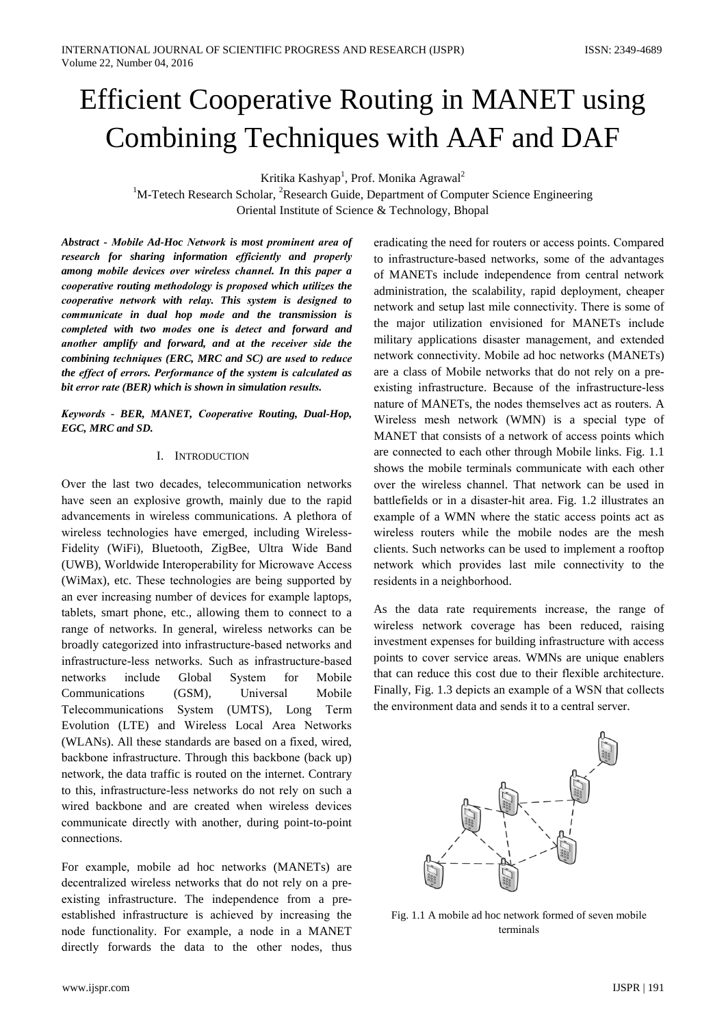Kritika Kashyap<sup>1</sup>, Prof. Monika Agrawal<sup>2</sup>

<sup>1</sup>M-Tetech Research Scholar, <sup>2</sup>Research Guide, Department of Computer Science Engineering Oriental Institute of Science & Technology, Bhopal

Abstract - Mobile Ad-Hoc Network is most prominent area of research for sharing information efficiently and properly among mobile devices over wireless channel. In this paper a cooperative routing methodology is proposed which utilizes the cooperative network with relay. This system is designed to communicate in dual hop mode and the transmission is completed with two modes one is detect and forward and another amplify and forward, and at the receiver side the combining techniques (ERC, MRC and SC) are used to reduce the effect of errors. Performance of the system is calculated as bit error rate (BER) which is shown in simulation results.

Keywords - BER, MANET, Cooperative Routing, Dual-Hop, EGC, MRC and SD.

#### **I. INTRODUCTION**

Over the last two decades, telecommunication networks have seen an explosive growth, mainly due to the rapid advancements in wireless communications. A plethora of wireless technologies have emerged, including Wireless-Fidelity (WiFi), Bluetooth, ZigBee, Ultra Wide Band (UWB), Worldwide Interoperability for Microwave Access (WiMax), etc. These technologies are being supported by an ever increasing number of devices for example laptops, tablets, smart phone, etc., allowing them to connect to a range of networks. In general, wireless networks can be broadly categorized into infrastructure-based networks and infrastructure-less networks. Such as infrastructure-based include Global Mobile networks System  $for$ Communications  $(GSM)$ . Universal Mobile Telecommunications System (UMTS), Long Term Evolution (LTE) and Wireless Local Area Networks (WLANs). All these standards are based on a fixed, wired. backbone infrastructure. Through this backbone (back up) network, the data traffic is routed on the internet. Contrary to this, infrastructure-less networks do not rely on such a wired backbone and are created when wireless devices communicate directly with another, during point-to-point connections.

For example, mobile ad hoc networks (MANETs) are decentralized wireless networks that do not rely on a preexisting infrastructure. The independence from a preestablished infrastructure is achieved by increasing the node functionality. For example, a node in a MANET directly forwards the data to the other nodes, thus

eradicating the need for routers or access points. Compared to infrastructure-based networks, some of the advantages of MANETs include independence from central network administration, the scalability, rapid deployment, cheaper network and setup last mile connectivity. There is some of the major utilization envisioned for MANETs include military applications disaster management, and extended network connectivity. Mobile ad hoc networks (MANETs) are a class of Mobile networks that do not rely on a preexisting infrastructure. Because of the infrastructure-less nature of MANETs, the nodes themselves act as routers. A Wireless mesh network (WMN) is a special type of MANET that consists of a network of access points which are connected to each other through Mobile links. Fig. 1.1 shows the mobile terminals communicate with each other over the wireless channel. That network can be used in battlefields or in a disaster-hit area. Fig. 1.2 illustrates an example of a WMN where the static access points act as wireless routers while the mobile nodes are the mesh clients. Such networks can be used to implement a rooftop network which provides last mile connectivity to the residents in a neighborhood.

As the data rate requirements increase, the range of wireless network coverage has been reduced, raising investment expenses for building infrastructure with access points to cover service areas. WMNs are unique enablers that can reduce this cost due to their flexible architecture. Finally, Fig. 1.3 depicts an example of a WSN that collects the environment data and sends it to a central server.



Fig. 1.1 A mobile ad hoc network formed of seven mobile terminals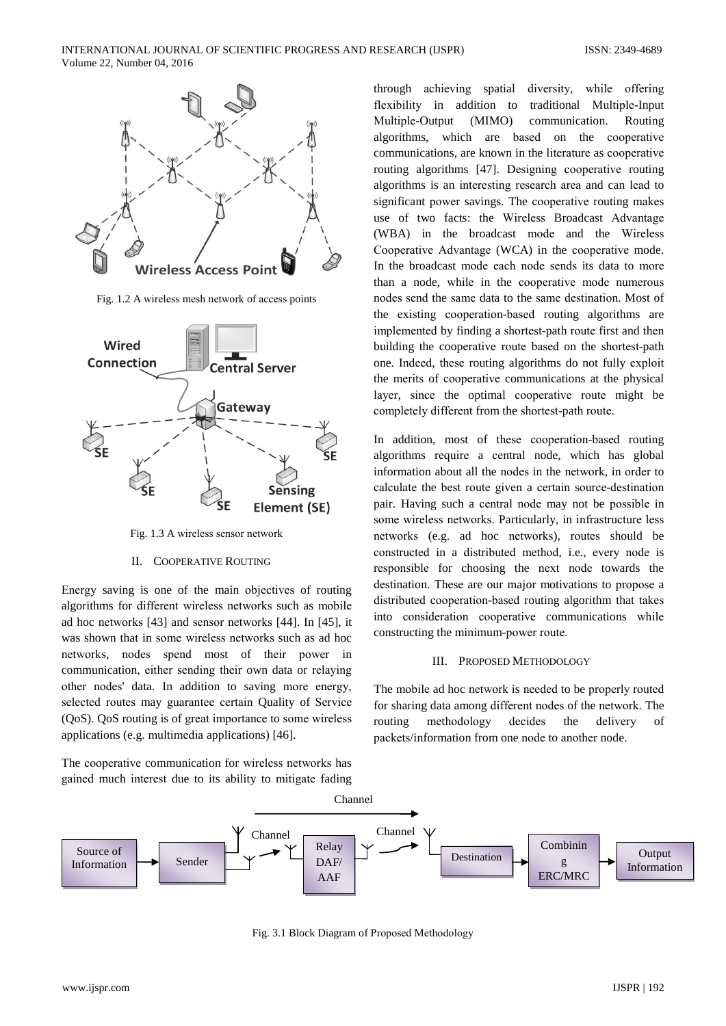

Fig. 1.2 A wireless mesh network of access points



Fig. 1.3 A wireless sensor network

## **II. COOPERATIVE ROUTING**

Energy saving is one of the main objectives of routing algorithms for different wireless networks such as mobile ad hoc networks [43] and sensor networks [44]. In [45], it was shown that in some wireless networks such as ad hoc networks, nodes spend most of their power in communication, either sending their own data or relaying other nodes' data. In addition to saving more energy, selected routes may guarantee certain Quality of Service (QoS). QoS routing is of great importance to some wireless applications (e.g. multimedia applications) [46].

The cooperative communication for wireless networks has gained much interest due to its ability to mitigate fading

through achieving spatial diversity, while offering flexibility in addition to traditional Multiple-Input Multiple-Output (MIMO) communication. Routing algorithms, which are based on the cooperative communications, are known in the literature as cooperative routing algorithms [47]. Designing cooperative routing algorithms is an interesting research area and can lead to significant power savings. The cooperative routing makes use of two facts: the Wireless Broadcast Advantage (WBA) in the broadcast mode and the Wireless Cooperative Advantage (WCA) in the cooperative mode. In the broadcast mode each node sends its data to more than a node, while in the cooperative mode numerous nodes send the same data to the same destination. Most of the existing cooperation-based routing algorithms are implemented by finding a shortest-path route first and then building the cooperative route based on the shortest-path one. Indeed, these routing algorithms do not fully exploit the merits of cooperative communications at the physical layer, since the optimal cooperative route might be completely different from the shortest-path route.

In addition, most of these cooperation-based routing algorithms require a central node, which has global information about all the nodes in the network, in order to calculate the best route given a certain source-destination pair. Having such a central node may not be possible in some wireless networks. Particularly, in infrastructure less networks (e.g. ad hoc networks), routes should be constructed in a distributed method, i.e., every node is responsible for choosing the next node towards the destination. These are our major motivations to propose a distributed cooperation-based routing algorithm that takes into consideration cooperative communications while constructing the minimum-power route.

## **III. PROPOSED METHODOLOGY**

The mobile ad hoc network is needed to be properly routed for sharing data among different nodes of the network. The decides routing methodology the delivery of packets/information from one node to another node.



Fig. 3.1 Block Diagram of Proposed Methodology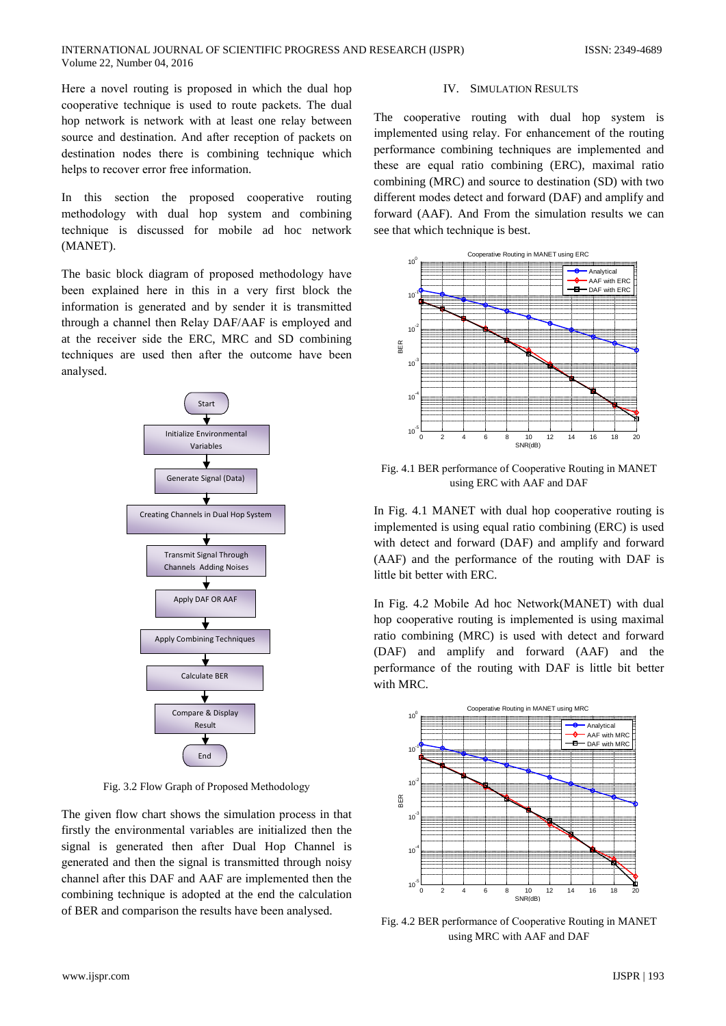Here a novel routing is proposed in which the dual hop cooperative technique is used to route packets. The dual hop network is network with at least one relay between source and destination. And after reception of packets on destination nodes there is combining technique which helps to recover error free information.

In this section the proposed cooperative routing methodology with dual hop system and combining technique is discussed for mobile ad hoc network (MANET).

The basic block diagram of proposed methodology have been explained here in this in a very first block the information is generated and by sender it is transmitted through a channel then Relay DAF/AAF is employed and at the receiver side the ERC, MRC and SD combining techniques are used then after the outcome have been analysed.



Fig. 3.2 Flow Graph of Proposed Methodology

The given flow chart shows the simulation process in that firstly the environmental variables are initialized then the signal is generated then after Dual Hop Channel is generated and then the signal is transmitted through noisy channel after this DAF and AAF are implemented then the combining technique is adopted at the end the calculation of BER and comparison the results have been analysed.

## **IV. SIMULATION RESULTS**

The cooperative routing with dual hop system is implemented using relay. For enhancement of the routing performance combining techniques are implemented and these are equal ratio combining (ERC), maximal ratio combining (MRC) and source to destination (SD) with two different modes detect and forward (DAF) and amplify and forward (AAF). And From the simulation results we can see that which technique is best.



Fig. 4.1 BER performance of Cooperative Routing in MANET using ERC with AAF and DAF

In Fig. 4.1 MANET with dual hop cooperative routing is implemented is using equal ratio combining (ERC) is used with detect and forward (DAF) and amplify and forward (AAF) and the performance of the routing with DAF is little bit better with ERC.

In Fig. 4.2 Mobile Ad hoc Network(MANET) with dual hop cooperative routing is implemented is using maximal ratio combining (MRC) is used with detect and forward (DAF) and amplify and forward (AAF) and the performance of the routing with DAF is little bit better with MRC.



Fig. 4.2 BER performance of Cooperative Routing in MANET using MRC with AAF and DAF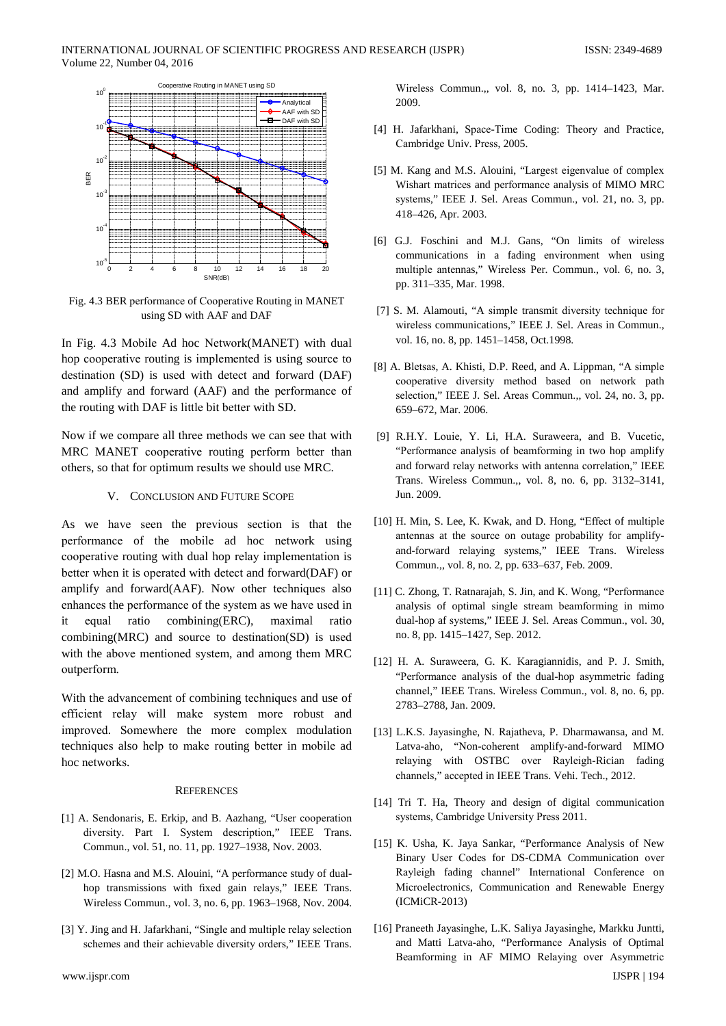

Fig. 4.3 BER performance of Cooperative Routing in MANET using SD with AAF and DAF

In Fig. 4.3 Mobile Ad hoc Network(MANET) with dual hop cooperative routing is implemented is using source to destination (SD) is used with detect and forward (DAF) and amplify and forward (AAF) and the performance of the routing with DAF is little bit better with SD.

Now if we compare all three methods we can see that with MRC MANET cooperative routing perform better than others, so that for optimum results we should use MRC.

# V. CONCLUSION AND FUTURE SCOPE

As we have seen the previous section is that the performance of the mobile ad hoc network using cooperative routing with dual hop relay implementation is better when it is operated with detect and forward(DAF) or amplify and forward(AAF). Now other techniques also enhances the performance of the system as we have used in equal ratio combining(ERC), maximal it ratio combining(MRC) and source to destination(SD) is used with the above mentioned system, and among them MRC outperform.

With the advancement of combining techniques and use of efficient relay will make system more robust and improved. Somewhere the more complex modulation techniques also help to make routing better in mobile ad hoc networks.

## **REFERENCES**

- [1] A. Sendonaris, E. Erkip, and B. Aazhang, "User cooperation diversity. Part I. System description," IEEE Trans. Commun., vol. 51, no. 11, pp. 1927-1938, Nov. 2003.
- [2] M.O. Hasna and M.S. Alouini, "A performance study of dualhop transmissions with fixed gain relays," IEEE Trans. Wireless Commun., vol. 3, no. 6, pp. 1963–1968, Nov. 2004.
- [3] Y. Jing and H. Jafarkhani, "Single and multiple relay selection schemes and their achievable diversity orders," IEEE Trans.

Wireless Commun., vol. 8, no. 3, pp. 1414-1423, Mar. 2009.

- [4] H. Jafarkhani, Space-Time Coding: Theory and Practice, Cambridge Univ. Press, 2005.
- [5] M. Kang and M.S. Alouini, "Largest eigenvalue of complex Wishart matrices and performance analysis of MIMO MRC systems," IEEE J. Sel. Areas Commun., vol. 21, no. 3, pp. 418-426, Apr. 2003.
- [6] G.J. Foschini and M.J. Gans, "On limits of wireless communications in a fading environment when using multiple antennas," Wireless Per. Commun., vol. 6, no. 3, pp. 311-335, Mar. 1998.
- [7] S. M. Alamouti, "A simple transmit diversity technique for wireless communications," IEEE J. Sel. Areas in Commun., vol. 16, no. 8, pp. 1451-1458, Oct.1998.
- [8] A. Bletsas, A. Khisti, D.P. Reed, and A. Lippman, "A simple cooperative diversity method based on network path selection," IEEE J. Sel. Areas Commun.,, vol. 24, no. 3, pp. 659-672, Mar. 2006.
- [9] R.H.Y. Louie, Y. Li, H.A. Suraweera, and B. Vucetic, "Performance analysis of beamforming in two hop amplify and forward relay networks with antenna correlation," IEEE Trans. Wireless Commun.,, vol. 8, no. 6, pp. 3132-3141, Jun. 2009.
- [10] H. Min, S. Lee, K. Kwak, and D. Hong, "Effect of multiple antennas at the source on outage probability for amplifyand-forward relaying systems," IEEE Trans. Wireless Commun.,, vol. 8, no. 2, pp. 633–637, Feb. 2009.
- [11] C. Zhong, T. Ratnarajah, S. Jin, and K. Wong, "Performance analysis of optimal single stream beamforming in mimo dual-hop af systems," IEEE J. Sel. Areas Commun., vol. 30, no. 8, pp. 1415-1427, Sep. 2012.
- [12] H. A. Suraweera, G. K. Karagiannidis, and P. J. Smith, "Performance analysis of the dual-hop asymmetric fading channel," IEEE Trans. Wireless Commun., vol. 8, no. 6, pp. 2783-2788, Jan. 2009.
- [13] L.K.S. Javasinghe, N. Rajatheva, P. Dharmawansa, and M. Latva-aho, "Non-coherent amplify-and-forward MIMO relaying with OSTBC over Rayleigh-Rician fading channels," accepted in IEEE Trans. Vehi. Tech., 2012.
- [14] Tri T. Ha, Theory and design of digital communication systems, Cambridge University Press 2011.
- [15] K. Usha, K. Jaya Sankar, "Performance Analysis of New Binary User Codes for DS-CDMA Communication over Rayleigh fading channel" International Conference on Microelectronics, Communication and Renewable Energy (ICMiCR-2013)
- [16] Praneeth Jayasinghe, L.K. Saliya Jayasinghe, Markku Juntti, and Matti Latva-aho, "Performance Analysis of Optimal Beamforming in AF MIMO Relaying over Asymmetric